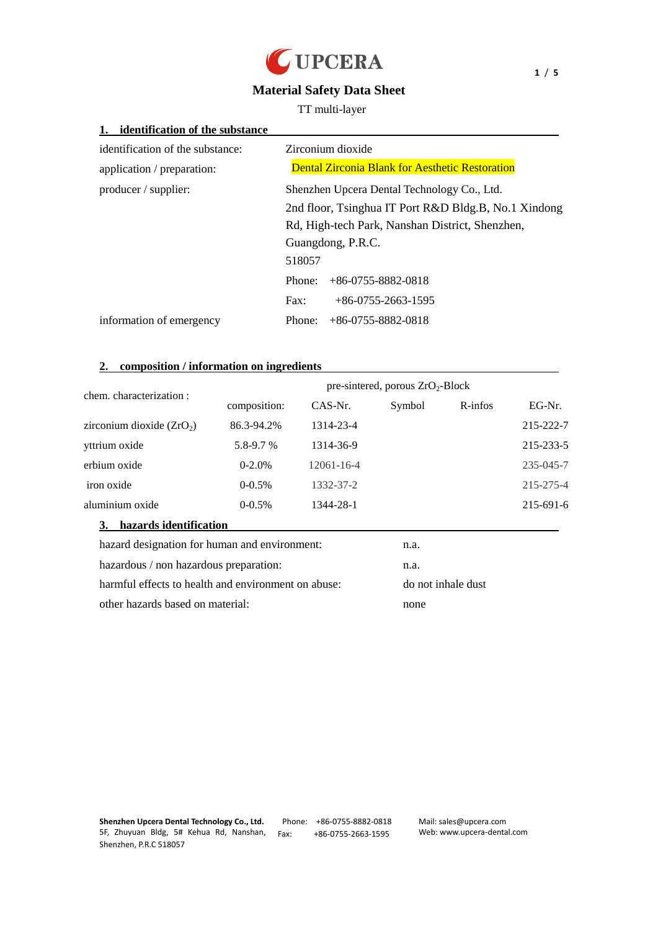

# **Material Safety Data Sheet**

TT multi-layer

| identification of the substance  |                                                        |  |  |
|----------------------------------|--------------------------------------------------------|--|--|
| identification of the substance: | Zirconium dioxide                                      |  |  |
| application / preparation:       | <b>Dental Zirconia Blank for Aesthetic Restoration</b> |  |  |
| producer / supplier:             | Shenzhen Upcera Dental Technology Co., Ltd.            |  |  |
|                                  | 2nd floor, Tsinghua IT Port R&D Bldg.B, No.1 Xindong   |  |  |
|                                  | Rd, High-tech Park, Nanshan District, Shenzhen,        |  |  |
|                                  | Guangdong, P.R.C.                                      |  |  |
|                                  | 518057                                                 |  |  |
|                                  | $+86-0755-8882-0818$<br>Phone:                         |  |  |
|                                  | $+86-0755-2663-1595$<br>Fax:                           |  |  |
| information of emergency         | $+86-0755-8882-0818$<br>Phone:                         |  |  |

# **2. composition / information on ingredients**

| chem. characterization :                            | pre-sintered, porous $ZrO_2-Block$ |                  |        |                    |           |
|-----------------------------------------------------|------------------------------------|------------------|--------|--------------------|-----------|
|                                                     | composition:                       | CAS-Nr.          | Symbol | $R$ -infos         | EG-Nr.    |
| zirconium dioxide $(ZrO2)$                          | 86.3-94.2%                         | 1314-23-4        |        |                    | 215-222-7 |
| yttrium oxide                                       | 5.8-9.7 %                          | 1314-36-9        |        |                    | 215-233-5 |
| erbium oxide                                        | $0 - 2.0%$                         | $12061 - 16 - 4$ |        |                    | 235-045-7 |
| iron oxide                                          | $0-0.5%$                           | 1332-37-2        |        |                    | 215-275-4 |
| aluminium oxide                                     | $0-0.5%$                           | 1344-28-1        |        |                    | 215-691-6 |
| hazards identification<br>3.                        |                                    |                  |        |                    |           |
| hazard designation for human and environment:       |                                    |                  | n.a.   |                    |           |
| hazardous / non hazardous preparation:              |                                    | n.a.             |        |                    |           |
| harmful effects to health and environment on abuse: |                                    |                  |        | do not inhale dust |           |

other hazards based on material: none

Phone: +86-0755-8882-0818 Fax: +86-0755-2663-1595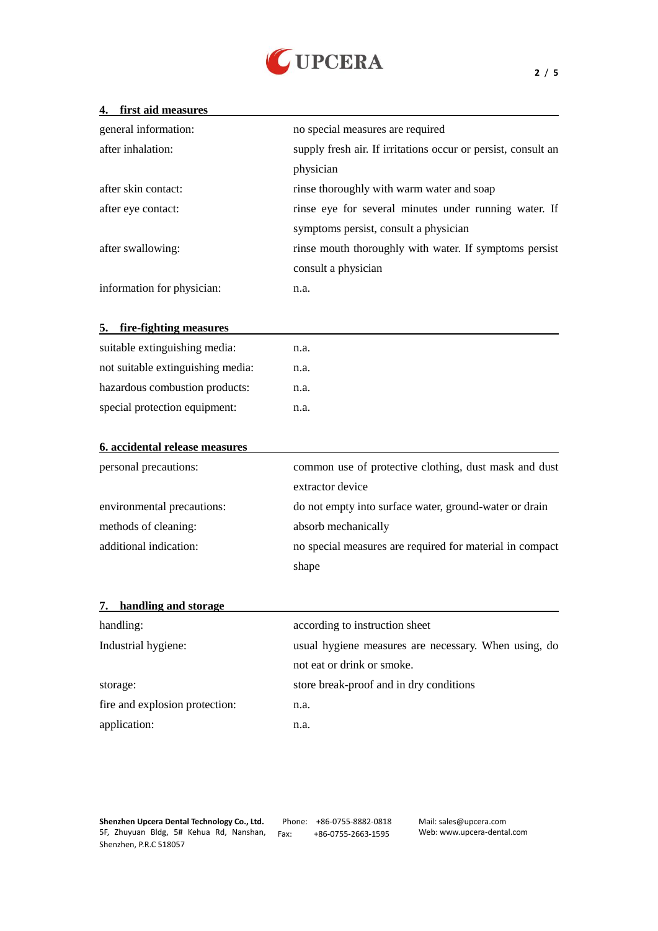

### **4. first aid measures**

| general information:       | no special measures are required                              |
|----------------------------|---------------------------------------------------------------|
| after inhalation:          | supply fresh air. If irritations occur or persist, consult an |
|                            | physician                                                     |
| after skin contact:        | rinse thoroughly with warm water and soap                     |
| after eye contact:         | rinse eye for several minutes under running water. If         |
|                            | symptoms persist, consult a physician                         |
| after swallowing:          | rinse mouth thoroughly with water. If symptoms persist        |
|                            | consult a physician                                           |
| information for physician: | n.a.                                                          |

### **5. fire-fighting measures**

| suitable extinguishing media:     | n.a. |
|-----------------------------------|------|
| not suitable extinguishing media: | n.a. |
| hazardous combustion products:    | n.a. |
| special protection equipment:     | n.a. |
|                                   |      |

| common use of protective clothing, dust mask and dust    |
|----------------------------------------------------------|
| extractor device                                         |
| do not empty into surface water, ground-water or drain   |
| absorb mechanically                                      |
| no special measures are required for material in compact |
| shape                                                    |
|                                                          |

# **7. handling and storage**

| handling:                      | according to instruction sheet                       |
|--------------------------------|------------------------------------------------------|
| Industrial hygiene:            | usual hygiene measures are necessary. When using, do |
|                                | not eat or drink or smoke.                           |
| storage:                       | store break-proof and in dry conditions              |
| fire and explosion protection: | n.a.                                                 |
| application:                   | n.a.                                                 |

Phone: +86-0755-8882-0818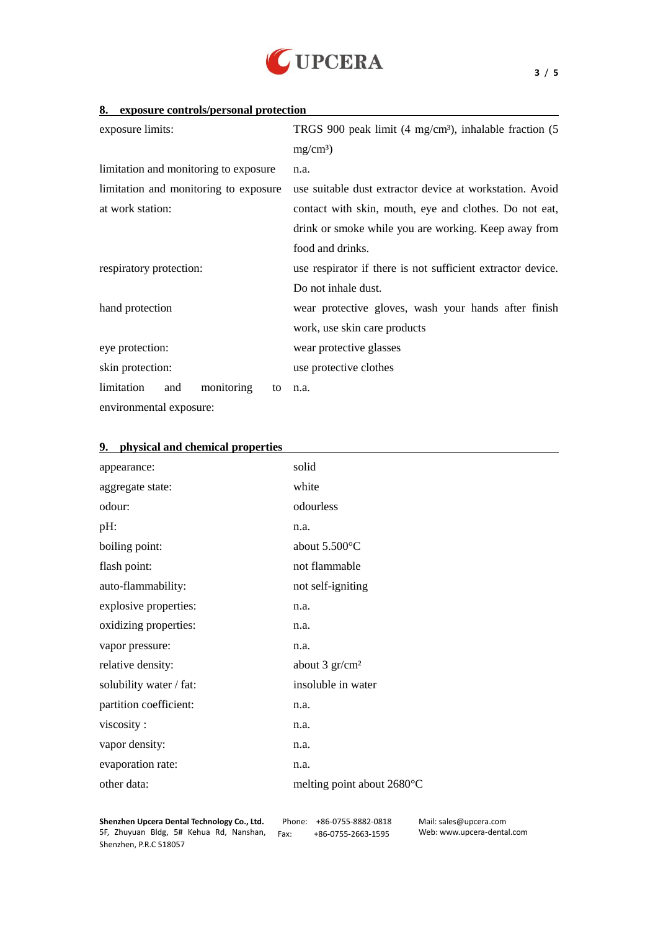

| exposure limits:                      | TRGS 900 peak limit $(4 \text{ mg/cm } 3)$ , inhalable fraction $(5 \text{ m})$ |
|---------------------------------------|---------------------------------------------------------------------------------|
|                                       | $mg/cm$ 3                                                                       |
| limitation and monitoring to exposure | n.a.                                                                            |
| limitation and monitoring to exposure | use suitable dust extractor device at workstation. Avoid                        |
| at work station:                      | contact with skin, mouth, eye and clothes. Do not eat,                          |
|                                       | drink or smoke while you are working. Keep away from                            |
|                                       | food and drinks.                                                                |
| respiratory protection:               | use respirator if there is not sufficient extractor device.                     |
|                                       | Do not inhale dust.                                                             |
| hand protection                       | wear protective gloves, wash your hands after finish                            |
|                                       | work, use skin care products                                                    |
| eye protection:                       | wear protective glasses                                                         |
| skin protection:                      | use protective clothes                                                          |
| limitation<br>monitoring<br>and<br>to | n.a.                                                                            |
| environmental exposure:               |                                                                                 |

| appearance:             | solid                                |
|-------------------------|--------------------------------------|
| aggregate state:        | white                                |
| odour:                  | odourless                            |
| $pH$ :                  | n.a.                                 |
| boiling point:          | about $5.500 \text{ C}$              |
| flash point:            | not flammable                        |
| auto-flammability:      | not self-igniting                    |
| explosive properties:   | n.a.                                 |
| oxidizing properties:   | n.a.                                 |
| vapor pressure:         | n.a.                                 |
| relative density:       | about $3 \text{ gr/cm }^2$           |
| solubility water / fat: | insoluble in water                   |
| partition coefficient:  | n.a.                                 |
| viscosity:              | n.a.                                 |
| vapor density:          | n.a.                                 |
| evaporation rate:       | n.a.                                 |
| other data:             | melting point about 2680 $\mathbb C$ |
|                         |                                      |

#### **9. physical and chemical properties**

**Shenzhen Upcera Dental Technology Co., Ltd.** 5F, Zhuyuan Bldg, 5# Kehua Rd, Nanshan, Fax: +86-0755-2663-1595 Shenzhen, P.R.C 518057

Phone: +86-0755-8882-0818

Mail: sales@upcera.com Web: www.upcera-dental.com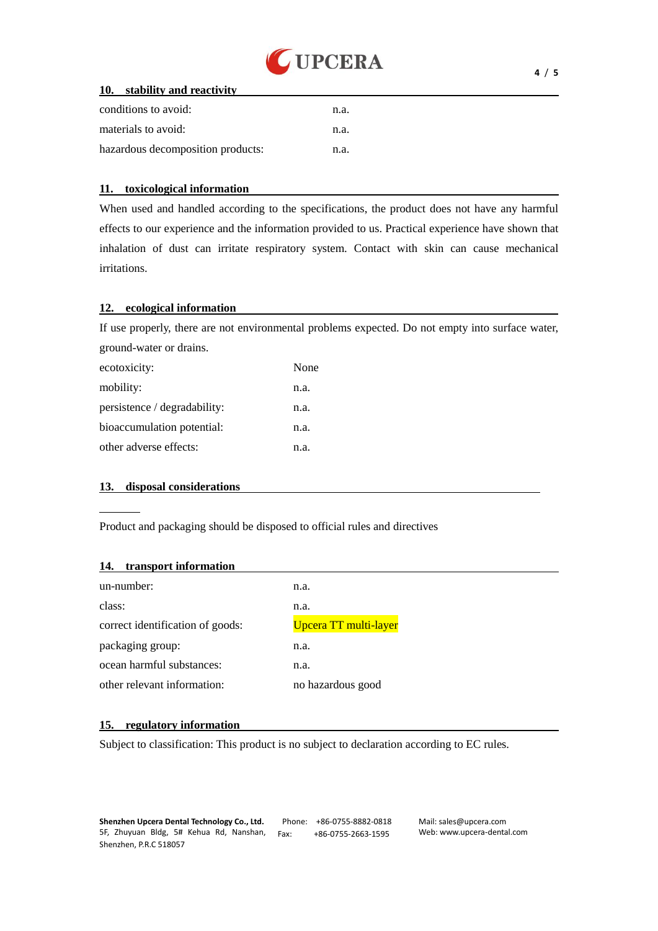

### **10. stability and reactivity**

| conditions to avoid:              | n.a. |
|-----------------------------------|------|
| materials to avoid:               | n.a. |
| hazardous decomposition products: | n.a. |

#### **11. toxicological information**

When used and handled according to the specifications, the product does not have any harmful effects to our experience and the information provided to us. Practical experience have shown that inhalation of dust can irritate respiratory system. Contact with skin can cause mechanical irritations.

### **12. ecological information**

If use properly, there are not environmental problems expected. Do not empty into surface water, ground-water or drains.

| ecotoxicity:                 | None |
|------------------------------|------|
| mobility:                    | n.a. |
| persistence / degradability: | n.a. |
| bioaccumulation potential:   | n.a. |
| other adverse effects:       | n.a. |

## **13. disposal considerations**

Product and packaging should be disposed to official rules and directives

#### **14. transport information**

| un-number:                       | n.a.                  |
|----------------------------------|-----------------------|
| class:                           | n.a.                  |
| correct identification of goods: | Upcera TT multi-layer |
| packaging group:                 | n.a.                  |
| ocean harmful substances:        | n.a.                  |
| other relevant information:      | no hazardous good     |

### **15. regulatory information**

Subject to classification: This product is no subject to declaration according to EC rules.

Phone: +86-0755-8882-0818 Fax: +86-0755-2663-1595

Mail: sales@upcera.com Web: www.upcera-dental.com